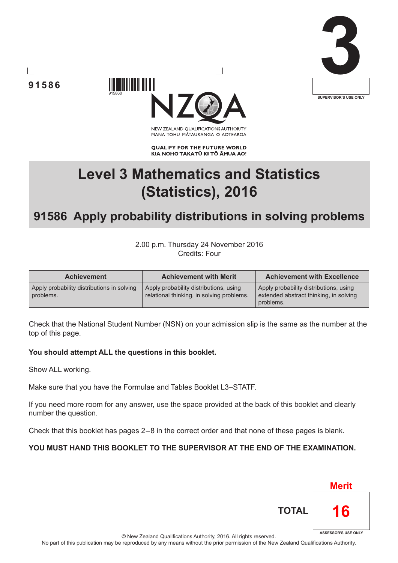





NEW ZEALAND OUALIFICATIONS AUTHORITY MANA TOHU MĀTAURANGA O AOTEAROA

**QUALIFY FOR THE FUTURE WORLD** KIA NOHO TAKATŪ KI TŌ ĀMUA AO!

# **Level 3 Mathematics and Statistics (Statistics), 2016**

# **91586 Apply probability distributions in solving problems**

2.00 p.m. Thursday 24 November 2016 Credits: Four

| <b>Achievement</b>                                      | <b>Achievement with Merit</b>                                                       | <b>Achievement with Excellence</b>                                                            |
|---------------------------------------------------------|-------------------------------------------------------------------------------------|-----------------------------------------------------------------------------------------------|
| Apply probability distributions in solving<br>problems. | Apply probability distributions, using<br>relational thinking, in solving problems. | Apply probability distributions, using<br>extended abstract thinking, in solving<br>problems. |

Check that the National Student Number (NSN) on your admission slip is the same as the number at the top of this page.

## **You should attempt ALL the questions in this booklet.**

Show ALL working.

Make sure that you have the Formulae and Tables Booklet L3–STATF.

If you need more room for any answer, use the space provided at the back of this booklet and clearly number the question.

Check that this booklet has pages 2 – 8 in the correct order and that none of these pages is blank.

## **YOU MUST HAND THIS BOOKLET TO THE SUPERVISOR AT THE END OF THE EXAMINATION.**



© New Zealand Qualifications Authority, 2016. All rights reserved.

No part of this publication may be reproduced by any means without the prior permission of the New Zealand Qualifications Authority.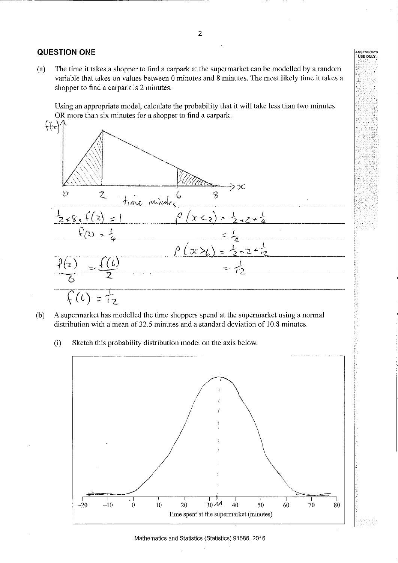#### **QUESTION ONE**

The time it takes a shopper to find a carpark at the supermarket can be modelled by a random  $(a)$ variable that takes on values between 0 minutes and 8 minutes. The most likely time it takes a shopper to find a carpark is 2 minutes.

Using an appropriate model, calculate the probability that it will take less than two minutes OR more than six minutes for a shopper to find a carpark.



- A supermarket has modelled the time shoppers spend at the supermarket using a normal  $(b)$ distribution with a mean of 32.5 minutes and a standard deviation of 10.8 minutes.
	- $(i)$ Sketch this probability distribution model on the axis below.

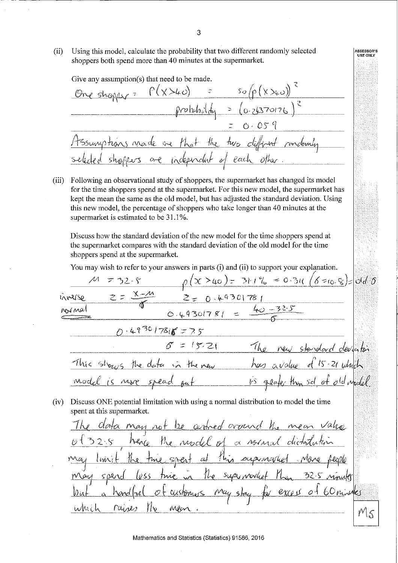$(ii)$ Using this model, calculate the probability that two different randomly selected shoppers both spend more than 40 minutes at the supermarket.

Give any assumption(s) that need to be made.  $P(X>40)$  =  $SO(p(X>40))$  $probability|_{m}$  =  $(o.24370176)$  $0.059$ tssumptions made are that the two different rondomly of each other ore independent

Following an observational study of shoppers, the supermarket has changed its model  $(iii)$ for the time shoppers spend at the supermarket. For this new model, the supermarket has kept the mean the same as the old model, but has adjusted the standard deviation. Using this new model, the percentage of shoppers who take longer than 40 minutes at the supermarket is estimated to be 31.1%.

Discuss how the standard deviation of the new model for the time shoppers spend at the supermarket compares with the standard deviation of the old model for the time shoppers spend at the supermarket.

You may wish to refer to your answers in parts (i) and (ii) to support your explanation.

 $\rho(x > 40) = 311\% = 0.31(6 = 0.8) = 0.66$ <br>  $\ge 0.49301781 = \frac{40 - 32.5}{6}$  $732.5$ inverso  $N N$  $N$  $0.49301786575$  $=15.21$ This shows the data in the new  $15 - 21$   $144$  $\frac{1}{s}$  alake  $\text{mod } k$ is more spead thin sol  $ot$   $od$   $d \rho$ (iv) Discuss ONE potential limitation with using a normal distribution to model the time spent at this supermarket. data may not be centred cround the mean value the model of a normal distribution  $h$ enro  $32.5$ spert at this supremarket  $lmit$  $f_{\mathcal{W}}$ tuis Mrs. 32-5 ninute super moviet  $1\omega$ excess of 60 minutes May stay customers *hon* iwhich rain Men  $M_{5}$ 

SSESSOR'S<br>USE ONLY

Mathematics and Statistics (Statistics) 91586, 2016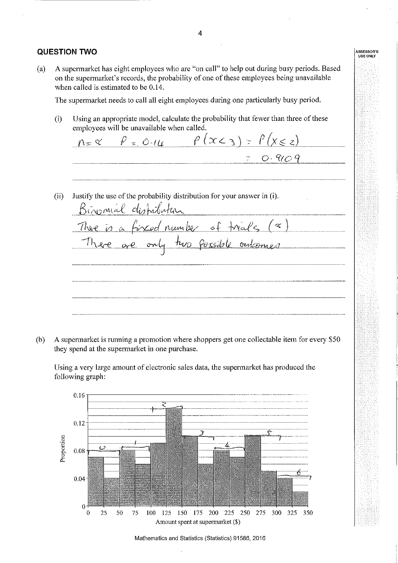#### **QUESTION TWO**

A supermarket has eight employees who are "on call" to help out during busy periods. Based  $(a)$ on the supermarket's records, the probability of one of these employees being unavailable when called is estimated to be 0.14.

The supermarket needs to call all eight employees during one particularly busy period.

Using an appropriate model, calculate the probability that fewer than three of these  $(i)$ employees will be unavailable when called.

 $\rho$  = 0.14  $\rho$  (x < 3) =  $\rho$  (x \ z \ z)  $n = 8$  $0.909$ Justify the use of the probability distribution for your answer in (i).  $(ii)$ Binomial distribution  $fixed number of trials (< s)$ There is a two possible outcomes

A supermarket is running a promotion where shoppers get one collectable item for every \$50  $(b)$ they spend at the supermarket in one purchase.

Using a very large amount of electronic sales data, the supermarket has produced the following graph:



Mathematics and Statistics (Statistics) 91586, 2016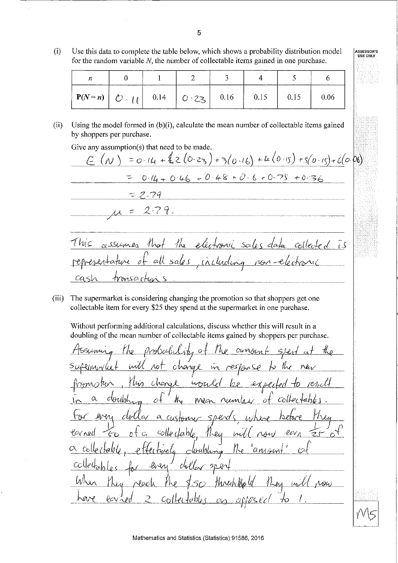$(i)$ Use this data to complete the table below, which shows a probability distribution model for the random variable  $N$ , the number of collectable items gained in one purchase.

| --------                                             |                 |                    |      |  |
|------------------------------------------------------|-----------------|--------------------|------|--|
| $ P(N=n)  \circlearrowright \circlearrowright  _{l}$ | $0.14$   $0.23$ | $\vert 0.16 \vert$ | 0.15 |  |

Using the model formed in  $(b)(i)$ , calculate the mean number of collectable items gained  $(ii)$ by shoppers per purchase.

Give any assumption(s) that need to be made.

msar

 $co<$ 

=  $0.14 + 20.23 + 3(0.16) + 4(0.15) + 5(0.15) + 6(0.06)$  $(\wedge)$  $0.14 + 0.46 + 0.48 + 0.6 + 0.75 + 0.36$  $= 2.79$  $2.79.$ 7 Wis Not  $\mathcal{H}_{\mathbf{S}}$ v bi  $S\alpha$ *les* selmes  $\overline{15}$ do al. sale s Including  $101 -$ 

The supermarket is considering changing the promotion so that shoppers get one  $(iii)$ collectable item for every \$25 they spend at the supermarket in one purchase.

Without performing additional calculations, discuss whether this will result in a doubling of the mean number of collectable items gained by shoppers per purchase.

cangent らんん change im  $\omega$ بمصم wout Chona ېرىنگ Colle conda MOO serd  $\mathcal{Z}$ 11 eg Carner colle in  $-$ eov $_A$ 7. P  $\alpha$ doubling `annson The  $\ell_i$ ira  $C_{\mathbb{C}}$  $50$ thresh the (d)  $1\omega$ NOW  $(A)$ lcv

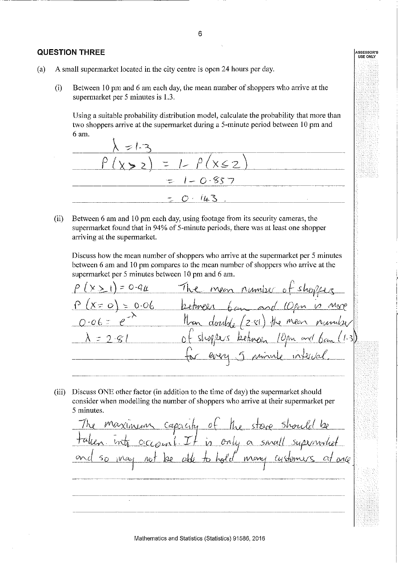#### **QUESTION THREE**

- $(a)$ A small supermarket located in the city centre is open 24 hours per day.
	- Between 10 pm and 6 am each day, the mean number of shoppers who arrive at the  $(i)$ supermarket per 5 minutes is 1.3.

Using a suitable probability distribution model, calculate the probability that more than two shoppers arrive at the supermarket during a 5-minute period between 10 pm and 6 am.



 $(ii)$ Between 6 am and 10 pm each day, using footage from its security cameras, the supermarket found that in 94% of 5-minute periods, there was at least one shopper arriving at the supermarket.

Discuss how the mean number of shoppers who arrive at the supermarket per 5 minutes between 6 am and 10 pm compares to the mean number of shoppers who arrive at the supermarket per 5 minutes between 10 pm and 6 am.

 $=$  0-9 $\mu$ Mon number  $= 0.06$  $X = \mathcal{O}$ Mean

(iii) Discuss ONE other factor (in addition to the time of day) the supermarket should consider when modelling the number of shoppers who arrive at their supermarket per 5 minutes.

capacity of the store Shore is only a small supermoted hold many customers  $\alpha$ dé May he  $AC1$  $\frac{1}{\sqrt{2}}$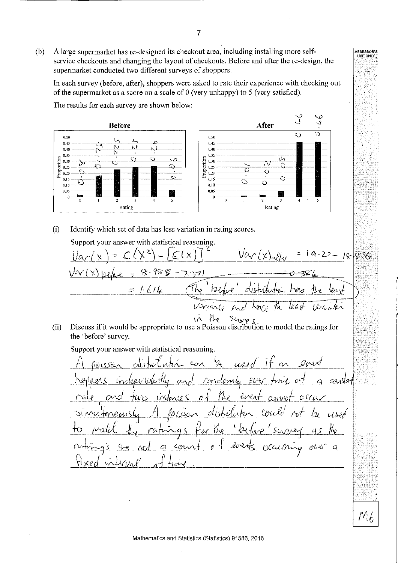A large supermarket has re-designed its checkout area, including installing more self- $(b)$ service checkouts and changing the layout of checkouts. Before and after the re-design, the supermarket conducted two different surveys of shoppers.

In each survey (before, after), shoppers were asked to rate their experience with checking out of the supermarket as a score on a scale of  $0$  (very unhappy) to  $5$  (very satisfied).

مب<br>ر لمي **After Before**  $\bigcirc$  $0,50$ 0.50 L  $0.45$  $0.45$ eJ. N  $0.40$ è.  $0.40$  $\overline{\mathbb{N}}$  $0.35$ 0.35 Proportion Proportion  $\bigodot$ ಾ بىرقى  $\overline{\mathcal{O}}$  $0.30$ 0.30 ্য £)  $0.25$ £  $\widehat{\ldots}$ 0.25  $0.20$  $\Omega$  $0.20$ Ō  $\mathbf{C}$  $0.15$ Ĉ  $0.15$ IJ Ç. Ò  $0.10$  $0.10$ 0.05 0.05  $\theta$  $\mathbf{a}$  $\mathbf{I}$  $\overline{4}$  $\overline{5}$  $\theta$  $\mathbf{I}$  $\overline{2}$  $\overline{3}$  $\overline{4}$  $\overline{2}$  $\overline{3}$  $\overline{\phantom{a}}$ Rating Rating

The results for each survey are shown below:

 $(i)$ Identify which set of data has less variation in rating scores.

Support your answer with statistical reasoning.  $9 - 22 - 18836$ Var 1  $1614$ W سيب  $\ell$ ard Varianco (Dac) i k $\mathcal{N}_t$ Ò, たへ the

Discuss if it would be appropriate to use a Poisson distribution to model the ratings for  $(ii)$ the 'before' survey.

Support your answer with statistical reasoning.

 $\overline{I}$  $Q_0$ rent con  $\alpha$ Molomh ŕυ  $O<sub>C</sub>$ O cίι ά liveri  $c_{01}$ A マン

ASSESSOR'S<br>USE ONLY

 $M_{b}$